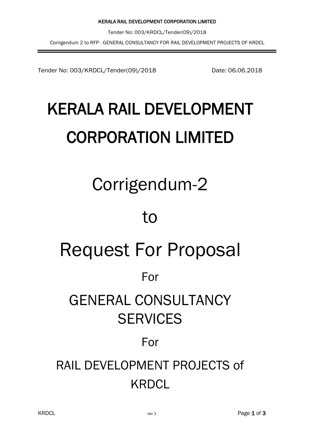Tender No: 003/KRDCL/Tender(09)/2018 Date: 06.06.2018

# KERALA RAIL DEVELOPMENT CORPORATION LIMITED

# Corrigendum-2

### to

# Request For Proposal

### For

### GENERAL CONSULTANCY **SERVICES**

### For

### RAIL DEVELOPMENT PROJECTS of **KRDCL**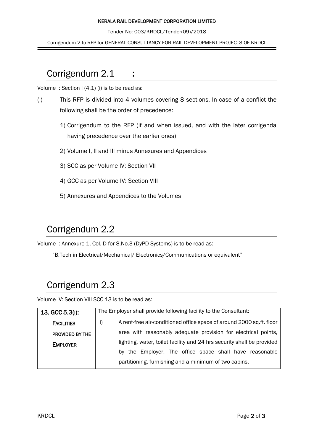#### KERALA RAIL DEVELOPMENT CORPORATION LIMITED

Tender No: 003/KRDCL/Tender(09)/2018

Corrigendum-2 to RFP for GENERAL CONSULTANCY FOR RAIL DEVELOPMENT PROJECTS OF KRDCL

#### Corrigendum 2.1

Volume I: Section I (4.1) (i) is to be read as:

- (i) This RFP is divided into 4 volumes covering 8 sections. In case of a conflict the following shall be the order of precedence:
	- 1) Corrigendum to the RFP (if and when issued, and with the later corrigenda having precedence over the earlier ones)
	- 2) Volume I, II and III minus Annexures and Appendices

:

- 3) SCC as per Volume IV: Section VII
- 4) GCC as per Volume IV: Section VIII
- 5) Annexures and Appendices to the Volumes

#### Corrigendum 2.2

Volume I: Annexure 1, Col. D for S.No.3 (DyPD Systems) is to be read as:

"B.Tech in Electrical/Mechanical/ Electronics/Communications or equivalent"

#### Corrigendum 2.3

Volume IV: Section VIII SCC 13 is to be read as:

| $13. GCC 5.3(1)$ : | The Employer shall provide following facility to the Consultant:                     |  |
|--------------------|--------------------------------------------------------------------------------------|--|
| <b>FACILITIES</b>  | A rent-free air-conditioned office space of around 2000 sq.ft. floor<br><sup>i</sup> |  |
| PROVIDED BY THE    | area with reasonably adequate provision for electrical points,                       |  |
| <b>EMPLOYER</b>    | lighting, water, toilet facility and 24 hrs security shall be provided               |  |
|                    | by the Employer. The office space shall have reasonable                              |  |
|                    | partitioning, furnishing and a minimum of two cabins.                                |  |